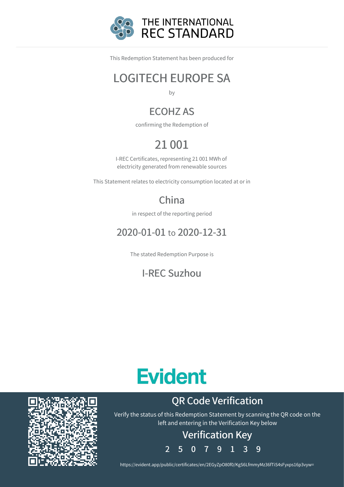

This Redemption Statement has been produced for

### LOGITECH EUROPE SA

by

### ECOHZ AS

confirming the Redemption of

## 21 001

I-REC Certificates, representing 21 001 MWh of electricity generated from renewable sources

This Statement relates to electricity consumption located at or in

### China

in respect of the reporting period

### 2020-01-01 to 2020-12-31

The stated Redemption Purpose is

### I-REC Suzhou

# **Evident**

### QR Code Verification

Verify the status of this Redemption Statement by scanning the QR code on the left and entering in the Verification Key below

# Verification Key

2 5 0 7 9 1 3 9

https://evident.app/public/certificates/en/2EGyZpO80f0/KgS6LfmmyMz36fTiS4sFyxps16p3vyw=